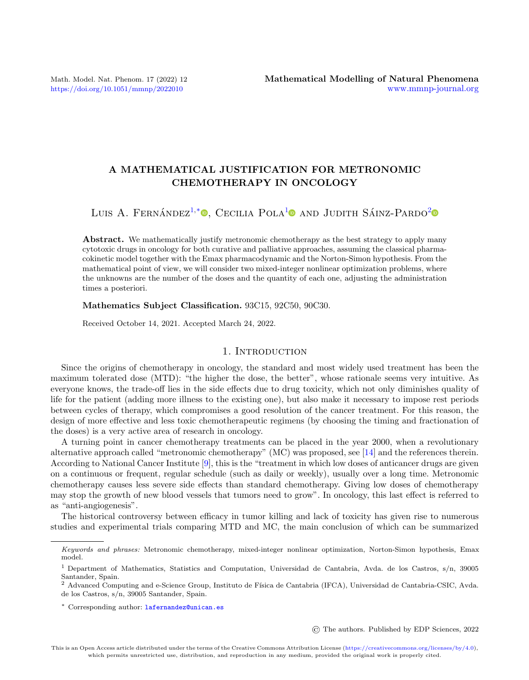# A MATHEMATICAL JUSTIFICATION FOR METRONOMIC CHEMOTHERAPY IN ONCOLOGY

Luis A. Fernández<sup>[1,](#page-0-0)[\\*](#page-0-1)</sup><sup>0</sup>[,](https://orcid.org/0000-0002-1962-4302) Cecilia Pola<sup>[1](#page-0-0)</sup><sup>0</sup> and Judith Sáinz-Pardo<sup>[2](#page-0-2)</sup>

Abstract. We mathematically justify metronomic chemotherapy as the best strategy to apply many cytotoxic drugs in oncology for both curative and palliative approaches, assuming the classical pharmacokinetic model together with the Emax pharmacodynamic and the Norton-Simon hypothesis. From the mathematical point of view, we will consider two mixed-integer nonlinear optimization problems, where the unknowns are the number of the doses and the quantity of each one, adjusting the administration times a posteriori.

Mathematics Subject Classification. 93C15, 92C50, 90C30.

Received October 14, 2021. Accepted March 24, 2022.

## 1. INTRODUCTION

Since the origins of chemotherapy in oncology, the standard and most widely used treatment has been the maximum tolerated dose (MTD): "the higher the dose, the better", whose rationale seems very intuitive. As everyone knows, the trade-off lies in the side effects due to drug toxicity, which not only diminishes quality of life for the patient (adding more illness to the existing one), but also make it necessary to impose rest periods between cycles of therapy, which compromises a good resolution of the cancer treatment. For this reason, the design of more effective and less toxic chemotherapeutic regimens (by choosing the timing and fractionation of the doses) is a very active area of research in oncology.

A turning point in cancer chemotherapy treatments can be placed in the year 2000, when a revolutionary alternative approach called "metronomic chemotherapy" (MC) was proposed, see [\[14\]](#page-17-0) and the references therein. According to National Cancer Institute [\[9\]](#page-16-0), this is the "treatment in which low doses of anticancer drugs are given on a continuous or frequent, regular schedule (such as daily or weekly), usually over a long time. Metronomic chemotherapy causes less severe side effects than standard chemotherapy. Giving low doses of chemotherapy may stop the growth of new blood vessels that tumors need to grow". In oncology, this last effect is referred to as "anti-angiogenesis".

The historical controversy between efficacy in tumor killing and lack of toxicity has given rise to numerous studies and experimental trials comparing MTD and MC, the main conclusion of which can be summarized

© The authors. Published by EDP Sciences, 2022

<span id="page-0-1"></span>Keywords and phrases: Metronomic chemotherapy, mixed-integer nonlinear optimization, Norton-Simon hypothesis, Emax model.

<span id="page-0-0"></span><sup>1</sup> Department of Mathematics, Statistics and Computation, Universidad de Cantabria, Avda. de los Castros, s/n, 39005 Santander, Spain.

<span id="page-0-2"></span><sup>&</sup>lt;sup>2</sup> Advanced Computing and e-Science Group, Instituto de Física de Cantabria (IFCA), Universidad de Cantabria-CSIC, Avda. de los Castros, s/n, 39005 Santander, Spain.

<sup>\*</sup> Corresponding author: [lafernandez@unican.es](mailto:lafernandez@unican.es)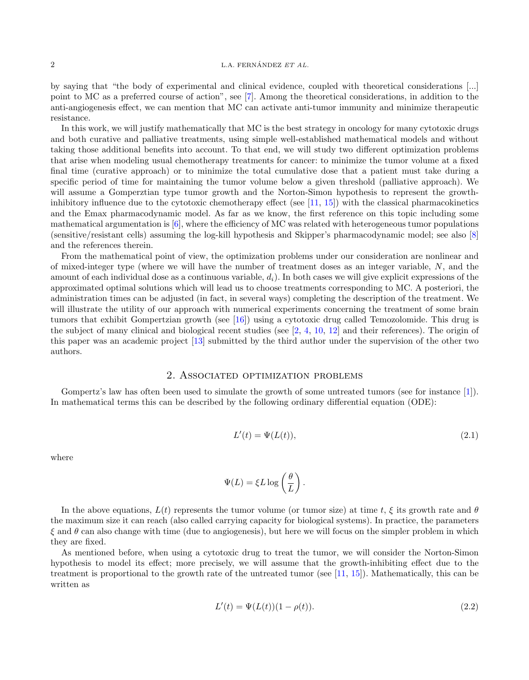#### $L.A. FERNÁNDEZ ET AL.$

by saying that "the body of experimental and clinical evidence, coupled with theoretical considerations [...] point to MC as a preferred course of action", see [\[7\]](#page-16-1). Among the theoretical considerations, in addition to the anti-angiogenesis effect, we can mention that MC can activate anti-tumor immunity and minimize therapeutic resistance.

In this work, we will justify mathematically that MC is the best strategy in oncology for many cytotoxic drugs and both curative and palliative treatments, using simple well-established mathematical models and without taking those additional benefits into account. To that end, we will study two different optimization problems that arise when modeling usual chemotherapy treatments for cancer: to minimize the tumor volume at a fixed final time (curative approach) or to minimize the total cumulative dose that a patient must take during a specific period of time for maintaining the tumor volume below a given threshold (palliative approach). We will assume a Gomperztian type tumor growth and the Norton-Simon hypothesis to represent the growthinhibitory influence due to the cytotoxic chemotherapy effect (see [\[11,](#page-16-2) [15\]](#page-17-1)) with the classical pharmacokinetics and the Emax pharmacodynamic model. As far as we know, the first reference on this topic including some mathematical argumentation is  $[6]$ , where the efficiency of MC was related with heterogeneous tumor populations (sensitive/resistant cells) assuming the log-kill hypothesis and Skipper's pharmacodynamic model; see also [\[8\]](#page-16-4) and the references therein.

From the mathematical point of view, the optimization problems under our consideration are nonlinear and of mixed-integer type (where we will have the number of treatment doses as an integer variable, N, and the amount of each individual dose as a continuous variable,  $d_i$ ). In both cases we will give explicit expressions of the approximated optimal solutions which will lead us to choose treatments corresponding to MC. A posteriori, the administration times can be adjusted (in fact, in several ways) completing the description of the treatment. We will illustrate the utility of our approach with numerical experiments concerning the treatment of some brain tumors that exhibit Gompertzian growth (see [\[16\]](#page-17-2)) using a cytotoxic drug called Temozolomide. This drug is the subject of many clinical and biological recent studies (see [\[2,](#page-16-5) [4,](#page-16-6) [10,](#page-16-7) [12\]](#page-16-8) and their references). The origin of this paper was an academic project [\[13\]](#page-17-3) submitted by the third author under the supervision of the other two authors.

## 2. Associated optimization problems

<span id="page-1-1"></span>Gompertz's law has often been used to simulate the growth of some untreated tumors (see for instance [\[1\]](#page-16-9)). In mathematical terms this can be described by the following ordinary differential equation (ODE):

<span id="page-1-2"></span>
$$
L'(t) = \Psi(L(t)),\tag{2.1}
$$

where

$$
\Psi(L) = \xi L \log \left(\frac{\theta}{L}\right).
$$

In the above equations,  $L(t)$  represents the tumor volume (or tumor size) at time t,  $\xi$  its growth rate and  $\theta$ the maximum size it can reach (also called carrying capacity for biological systems). In practice, the parameters  $\xi$  and  $\theta$  can also change with time (due to angiogenesis), but here we will focus on the simpler problem in which they are fixed.

As mentioned before, when using a cytotoxic drug to treat the tumor, we will consider the Norton-Simon hypothesis to model its effect; more precisely, we will assume that the growth-inhibiting effect due to the treatment is proportional to the growth rate of the untreated tumor (see [\[11,](#page-16-2) [15\]](#page-17-1)). Mathematically, this can be written as

<span id="page-1-0"></span>
$$
L'(t) = \Psi(L(t))(1 - \rho(t)).
$$
\n(2.2)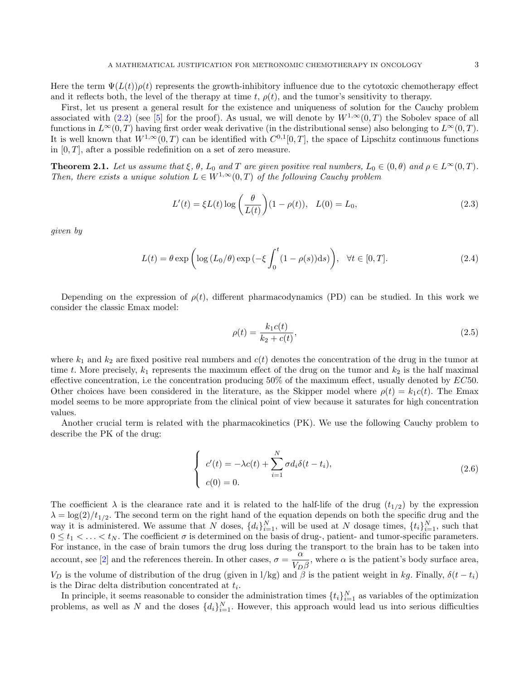Here the term  $\Psi(L(t))\rho(t)$  represents the growth-inhibitory influence due to the cytotoxic chemotherapy effect and it reflects both, the level of the therapy at time t,  $\rho(t)$ , and the tumor's sensitivity to therapy.

First, let us present a general result for the existence and uniqueness of solution for the Cauchy problem associated with [\(2.2\)](#page-1-0) (see [\[5\]](#page-16-10) for the proof). As usual, we will denote by  $W^{1,\infty}(0,T)$  the Sobolev space of all functions in  $L^{\infty}(0,T)$  having first order weak derivative (in the distributional sense) also belonging to  $L^{\infty}(0,T)$ . It is well known that  $W^{1,\infty}(0,T)$  can be identified with  $C^{0,1}[0,T]$ , the space of Lipschitz continuous functions in  $[0, T]$ , after a possible redefinition on a set of zero measure.

**Theorem 2.1.** Let us assume that  $\xi$ ,  $\theta$ ,  $L_0$  and T are given positive real numbers,  $L_0 \in (0, \theta)$  and  $\rho \in L^{\infty}(0, T)$ . Then, there exists a unique solution  $L \in W^{1,\infty}(0,T)$  of the following Cauchy problem

<span id="page-2-0"></span>
$$
L'(t) = \xi L(t) \log \left(\frac{\theta}{L(t)}\right) (1 - \rho(t)), \quad L(0) = L_0,
$$
\n(2.3)

given by

<span id="page-2-2"></span>
$$
L(t) = \theta \exp\left(\log\left(L_0/\theta\right) \exp\left(-\xi \int_0^t (1-\rho(s))ds\right)\right), \quad \forall t \in [0, T].\tag{2.4}
$$

Depending on the expression of  $\rho(t)$ , different pharmacodynamics (PD) can be studied. In this work we consider the classic Emax model:

<span id="page-2-1"></span>
$$
\rho(t) = \frac{k_1 c(t)}{k_2 + c(t)},
$$
\n(2.5)

where  $k_1$  and  $k_2$  are fixed positive real numbers and  $c(t)$  denotes the concentration of the drug in the tumor at time t. More precisely,  $k_1$  represents the maximum effect of the drug on the tumor and  $k_2$  is the half maximal effective concentration, i.e the concentration producing  $50\%$  of the maximum effect, usually denoted by  $EC50$ . Other choices have been considered in the literature, as the Skipper model where  $\rho(t) = k_1 c(t)$ . The Emax model seems to be more appropriate from the clinical point of view because it saturates for high concentration values.

Another crucial term is related with the pharmacokinetics (PK). We use the following Cauchy problem to describe the PK of the drug:

<span id="page-2-3"></span>
$$
\begin{cases}\nc'(t) = -\lambda c(t) + \sum_{i=1}^{N} \sigma d_i \delta(t - t_i), \\
c(0) = 0.\n\end{cases}
$$
\n(2.6)

The coefficient  $\lambda$  is the clearance rate and it is related to the half-life of the drug  $(t_{1/2})$  by the expression  $\lambda = \log(2)/t_{1/2}$ . The second term on the right hand of the equation depends on both the specific drug and the way it is administered. We assume that N doses,  $\{d_i\}_{i=1}^N$ , will be used at N dosage times,  $\{t_i\}_{i=1}^N$ , such that  $0 \leq t_1 < \ldots < t_N$ . The coefficient  $\sigma$  is determined on the basis of drug-, patient- and tumor-specific parameters. For instance, in the case of brain tumors the drug loss during the transport to the brain has to be taken into account, see [\[2\]](#page-16-5) and the references therein. In other cases,  $\sigma = \frac{\alpha}{\tau}$  $\frac{\alpha}{V_D \beta}$ , where  $\alpha$  is the patient's body surface area,  $V_D$  is the volume of distribution of the drug (given in l/kg) and  $\beta$  is the patient weight in kg. Finally,  $\delta(t-t_i)$ is the Dirac delta distribution concentrated at  $t_i$ .

In principle, it seems reasonable to consider the administration times  $\{t_i\}_{i=1}^N$  as variables of the optimization problems, as well as N and the doses  $\{d_i\}_{i=1}^N$ . However, this approach would lead us into serious difficulties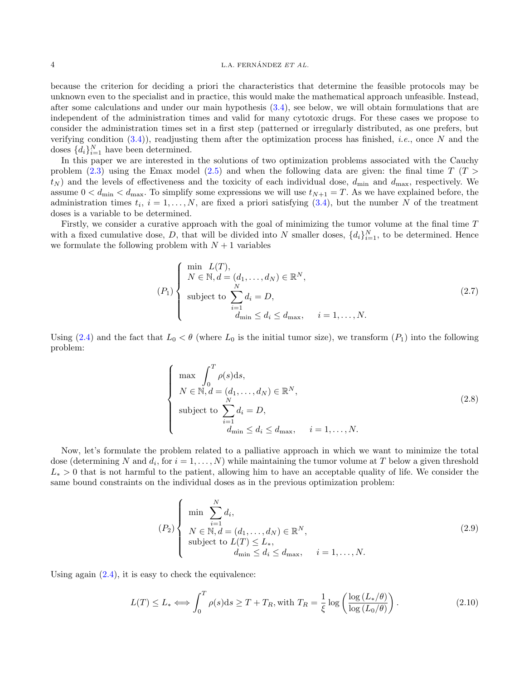#### $1.4$  ERNÁNDEZ ET AL.

because the criterion for deciding a priori the characteristics that determine the feasible protocols may be unknown even to the specialist and in practice, this would make the mathematical approach unfeasible. Instead, after some calculations and under our main hypothesis [\(3.4\)](#page-5-0), see below, we will obtain formulations that are independent of the administration times and valid for many cytotoxic drugs. For these cases we propose to consider the administration times set in a first step (patterned or irregularly distributed, as one prefers, but verifying condition  $(3.4)$ ), readjusting them after the optimization process has finished, *i.e.*, once N and the doses  $\{d_i\}_{i=1}^N$  have been determined.

In this paper we are interested in the solutions of two optimization problems associated with the Cauchy problem [\(2.3\)](#page-2-0) using the Emax model [\(2.5\)](#page-2-1) and when the following data are given: the final time  $T(T >$  $t_N$ ) and the levels of effectiveness and the toxicity of each individual dose,  $d_{\min}$  and  $d_{\max}$ , respectively. We assume  $0 < d_{\text{min}} < d_{\text{max}}$ . To simplify some expressions we will use  $t_{N+1} = T$ . As we have explained before, the administration times  $t_i$ ,  $i = 1, ..., N$ , are fixed a priori satisfying [\(3.4\)](#page-5-0), but the number N of the treatment doses is a variable to be determined.

Firstly, we consider a curative approach with the goal of minimizing the tumor volume at the final time T with a fixed cumulative dose, D, that will be divided into N smaller doses,  $\{d_i\}_{i=1}^N$ , to be determined. Hence we formulate the following problem with  $N+1$  variables

$$
(P_1)\begin{cases}\n\min_{N \in \mathbb{N}, d = (d_1, \dots, d_N) \in \mathbb{R}^N, \\
N \in \mathbb{N}, d = (d_1, \dots, d_N) \in \mathbb{R}^N, \\
\text{subject to } \sum_{\substack{i=1 \ i \text{min} \le d_i \le d_{\text{max}, \quad i = 1, \dots, N.}}\n\end{cases}
$$
\n
$$
(2.7)
$$

Using [\(2.4\)](#page-2-2) and the fact that  $L_0 < \theta$  (where  $L_0$  is the initial tumor size), we transform  $(P_1)$  into the following problem:

<span id="page-3-0"></span>
$$
\begin{cases}\n\max \int_0^T \rho(s) ds, \\
N \in \mathbb{N}, d = (d_1, \dots, d_N) \in \mathbb{R}^N, \\
\text{subject to } \sum_{\substack{i=1 \ i \text{dim} \le d_i \le d_{\text{max}}}}^N, \quad i = 1, \dots, N.\n\end{cases}
$$
\n(2.8)

Now, let's formulate the problem related to a palliative approach in which we want to minimize the total dose (determining N and  $d_i$ , for  $i = 1, ..., N$ ) while maintaining the tumor volume at T below a given threshold  $L_* > 0$  that is not harmful to the patient, allowing him to have an acceptable quality of life. We consider the same bound constraints on the individual doses as in the previous optimization problem:

$$
(P_2)\n\begin{cases}\n\min \sum_{i=1}^{N} d_i, \\
N \in \mathbb{N}, d = (d_1, \dots, d_N) \in \mathbb{R}^N, \\
\text{subject to } L(T) \le L_*, \\
d_{\min} \le d_i \le d_{\max}, \quad i = 1, \dots, N.\n\end{cases}
$$
\n(2.9)

Using again  $(2.4)$ , it is easy to check the equivalence:

<span id="page-3-1"></span>
$$
L(T) \le L_* \Longleftrightarrow \int_0^T \rho(s)ds \ge T + T_R, \text{with } T_R = \frac{1}{\xi} \log \left( \frac{\log \left( L_*/\theta \right)}{\log \left( L_0/\theta \right)} \right). \tag{2.10}
$$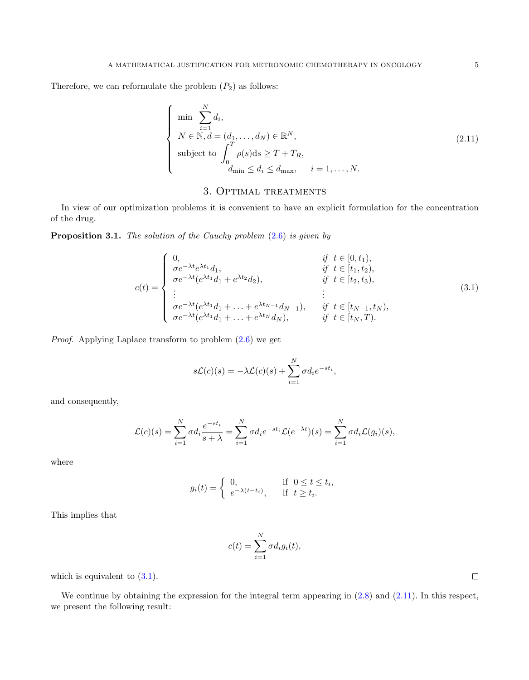Therefore, we can reformulate the problem  $(P_2)$  as follows:

<span id="page-4-1"></span>
$$
\begin{cases}\n\min \sum_{i=1}^{N} d_i, \\
N \in \mathbb{N}, d = (d_1, \dots, d_N) \in \mathbb{R}^N, \\
\text{subject to } \int_0^T \rho(s) \, \mathrm{d}s \ge T + T_R, \\
d_{\min} \le d_i \le d_{\max}, \quad i = 1, \dots, N.\n\end{cases} \tag{2.11}
$$

# 3. Optimal treatments

In view of our optimization problems it is convenient to have an explicit formulation for the concentration of the drug.

**Proposition 3.1.** The solution of the Cauchy problem  $(2.6)$  is given by

<span id="page-4-0"></span>
$$
c(t) = \begin{cases} 0, & \text{if } t \in [0, t_1), \\ \sigma e^{-\lambda t} e^{\lambda t_1} d_1, & \text{if } t \in [t_1, t_2), \\ \sigma e^{-\lambda t} (e^{\lambda t_1} d_1 + e^{\lambda t_2} d_2), & \text{if } t \in [t_2, t_3), \\ \vdots & \vdots \\ \sigma e^{-\lambda t} (e^{\lambda t_1} d_1 + \ldots + e^{\lambda t_{N-1}} d_{N-1}), & \text{if } t \in [t_{N-1}, t_N), \\ \sigma e^{-\lambda t} (e^{\lambda t_1} d_1 + \ldots + e^{\lambda t_N} d_N), & \text{if } t \in [t_N, T). \end{cases}
$$
(3.1)

Proof. Applying Laplace transform to problem [\(2.6\)](#page-2-3) we get

$$
s\mathcal{L}(c)(s) = -\lambda \mathcal{L}(c)(s) + \sum_{i=1}^{N} \sigma d_i e^{-st_i},
$$

and consequently,

$$
\mathcal{L}(c)(s) = \sum_{i=1}^{N} \sigma d_i \frac{e^{-st_i}}{s+\lambda} = \sum_{i=1}^{N} \sigma d_i e^{-st_i} \mathcal{L}(e^{-\lambda t})(s) = \sum_{i=1}^{N} \sigma d_i \mathcal{L}(g_i)(s),
$$

where

$$
g_i(t) = \begin{cases} 0, & \text{if } 0 \le t \le t_i, \\ e^{-\lambda(t-t_i)}, & \text{if } t \ge t_i. \end{cases}
$$

This implies that

$$
c(t) = \sum_{i=1}^{N} \sigma d_i g_i(t),
$$

which is equivalent to  $(3.1)$ .

<span id="page-4-2"></span>We continue by obtaining the expression for the integral term appearing in  $(2.8)$  and  $(2.11)$ . In this respect, we present the following result:

 $\Box$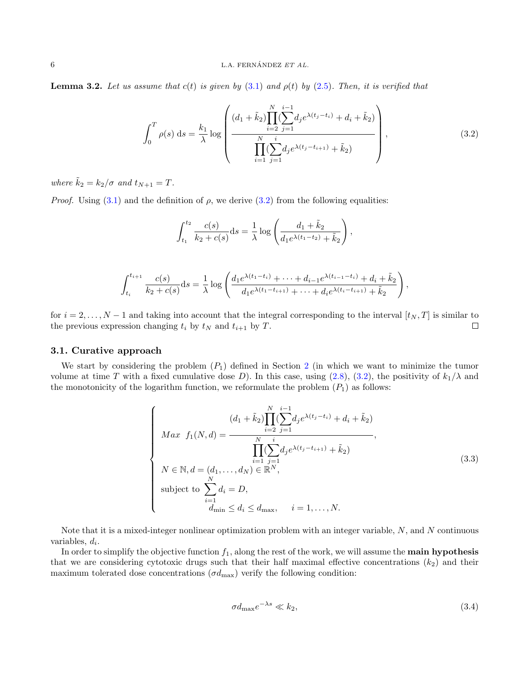**Lemma 3.2.** Let us assume that  $c(t)$  is given by [\(3.1\)](#page-4-0) and  $\rho(t)$  by [\(2.5\)](#page-2-1). Then, it is verified that

<span id="page-5-1"></span>
$$
\int_0^T \rho(s) \, ds = \frac{k_1}{\lambda} \log \left( \frac{(d_1 + \tilde{k}_2) \prod_{i=2}^N (\sum_{j=1}^{i-1} d_j e^{\lambda(t_j - t_i)} + d_i + \tilde{k}_2)}{\prod_{i=1}^N (\sum_{j=1}^i d_j e^{\lambda(t_j - t_{i+1})} + \tilde{k}_2)} \right), \tag{3.2}
$$

where  $\tilde{k}_2 = k_2/\sigma$  and  $t_{N+1} = T$ .

*Proof.* Using [\(3.1\)](#page-4-0) and the definition of  $\rho$ , we derive [\(3.2\)](#page-5-1) from the following equalities:

$$
\int_{t_1}^{t_2} \frac{c(s)}{k_2 + c(s)} ds = \frac{1}{\lambda} \log \left( \frac{d_1 + \tilde{k}_2}{d_1 e^{\lambda(t_1 - t_2)} + \tilde{k}_2} \right),
$$

$$
\int_{t_i}^{t_{i+1}} \frac{c(s)}{k_2 + c(s)} ds = \frac{1}{\lambda} \log \left( \frac{d_1 e^{\lambda(t_1 - t_i)} + \dots + d_{i-1} e^{\lambda(t_{i-1} - t_i)} + d_i + \tilde{k}_2}{d_1 e^{\lambda(t_1 - t_{i+1})} + \dots + d_i e^{\lambda(t_i - t_{i+1})} + \tilde{k}_2} \right),
$$

for  $i = 2, \ldots, N - 1$  and taking into account that the integral corresponding to the interval  $[t_N, T]$  is similar to the previous expression changing  $t_i$  by  $t_N$  and  $t_{i+1}$  by  $T$ .  $\Box$ 

#### 3.1. Curative approach

We start by considering the problem  $(P_1)$  defined in Section [2](#page-1-1) (in which we want to minimize the tumor volume at time T with a fixed cumulative dose D). In this case, using  $(2.8)$ ,  $(3.2)$ , the positivity of  $k_1/\lambda$  and the monotonicity of the logarithm function, we reformulate the problem  $(P_1)$  as follows:

<span id="page-5-2"></span>
$$
\begin{cases}\n\max f_1(N,d) = \frac{(d_1 + \tilde{k}_2) \prod_{i=2}^N (\sum_{j=1}^{i-1} d_j e^{\lambda(t_j - t_i)} + d_i + \tilde{k}_2)}{\prod_{i=1}^N (\sum_{j=1}^i d_j e^{\lambda(t_j - t_{i+1})} + \tilde{k}_2)},\\ N \in \mathbb{N}, d = (d_1, \dots, d_N) \in \mathbb{R}^N,\\ \text{subject to } \sum_{i=1}^N d_i = D,\\ \frac{d_{\min}}{d_{\min}} \le d_i \le d_{\max}, \quad i = 1, \dots, N.\n\end{cases} \tag{3.3}
$$

Note that it is a mixed-integer nonlinear optimization problem with an integer variable, N, and N continuous variables,  $d_i$ .

In order to simplify the objective function  $f_1$ , along the rest of the work, we will assume the **main hypothesis** that we are considering cytotoxic drugs such that their half maximal effective concentrations  $(k_2)$  and their maximum tolerated dose concentrations  $(\sigma d_{\text{max}})$  verify the following condition:

<span id="page-5-0"></span>
$$
\sigma d_{\text{max}} e^{-\lambda s} \ll k_2,\tag{3.4}
$$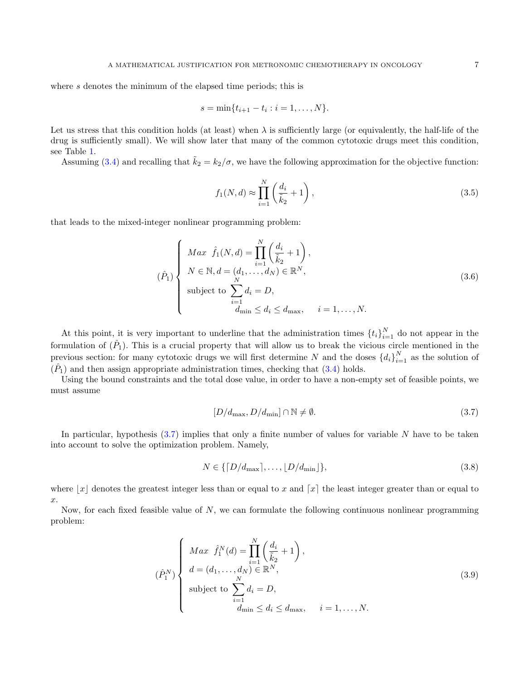where s denotes the minimum of the elapsed time periods; this is

$$
s = \min\{t_{i+1} - t_i : i = 1, \dots, N\}.
$$

Let us stress that this condition holds (at least) when  $\lambda$  is sufficiently large (or equivalently, the half-life of the drug is sufficiently small). We will show later that many of the common cytotoxic drugs meet this condition, see Table [1.](#page-8-0)

Assuming [\(3.4\)](#page-5-0) and recalling that  $\tilde{k}_2 = k_2/\sigma$ , we have the following approximation for the objective function:

<span id="page-6-2"></span>
$$
f_1(N,d) \approx \prod_{i=1}^N \left(\frac{d_i}{\tilde{k}_2} + 1\right),\tag{3.5}
$$

that leads to the mixed-integer nonlinear programming problem:

<span id="page-6-3"></span>
$$
(\hat{P}_1)
$$
\n
$$
\begin{cases}\nMax \hat{f}_1(N,d) = \prod_{i=1}^N \left(\frac{d_i}{\tilde{k}_2} + 1\right), \\
N \in \mathbb{N}, d = (d_1, \dots, d_N) \in \mathbb{R}^N, \\
\text{subject to } \sum_{i=1}^N d_i = D, \\
d_{\min} \le d_i \le d_{\max}, \quad i = 1, \dots, N.\n\end{cases}
$$
\n(3.6)

At this point, it is very important to underline that the administration times  $\{t_i\}_{i=1}^N$  do not appear in the formulation of  $(\hat{P}_1)$ . This is a crucial property that will allow us to break the vicious circle mentioned in the previous section: for many cytotoxic drugs we will first determine N and the doses  $\{d_i\}_{i=1}^N$  as the solution of  $(\hat{P}_1)$  and then assign appropriate administration times, checking that  $(3.4)$  holds.

Using the bound constraints and the total dose value, in order to have a non-empty set of feasible points, we must assume

<span id="page-6-0"></span>
$$
[D/d_{\text{max}}, D/d_{\text{min}}] \cap \mathbb{N} \neq \emptyset. \tag{3.7}
$$

In particular, hypothesis  $(3.7)$  implies that only a finite number of values for variable N have to be taken into account to solve the optimization problem. Namely,

<span id="page-6-1"></span>
$$
N \in \{ [D/d_{\text{max}}], \dots, [D/d_{\text{min}}] \},\tag{3.8}
$$

where  $|x|$  denotes the greatest integer less than or equal to x and  $[x]$  the least integer greater than or equal to  $\hat{x}$ .

Now, for each fixed feasible value of  $N$ , we can formulate the following continuous nonlinear programming problem:

<span id="page-6-4"></span>
$$
(\hat{P}_1^N) \begin{cases} Max \quad \hat{f}_1^N(d) = \prod_{i=1}^N \left(\frac{d_i}{\tilde{k}_2} + 1\right), \\ d = (d_1, \dots, d_N) \in \mathbb{R}^N, \\ \text{subject to } \sum_{i=1}^N d_i = D, \\ d_{\min} \le d_i \le d_{\max}, \quad i = 1, \dots, N. \end{cases} \tag{3.9}
$$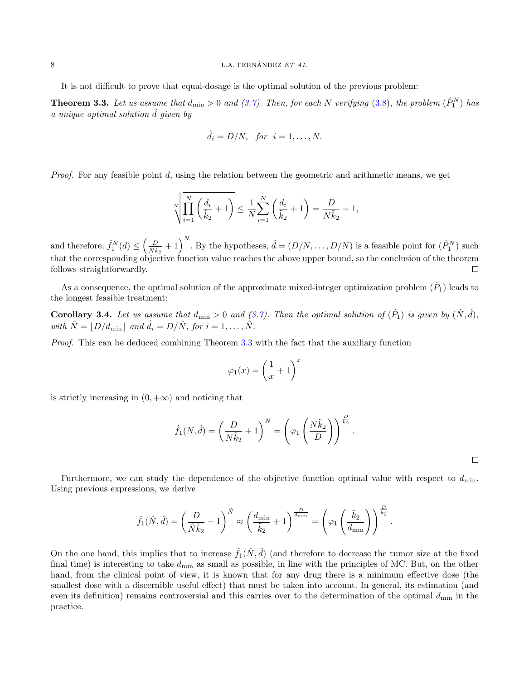#### 8  $L.A. FERNÁNDEZ ET AL.$

It is not difficult to prove that equal-dosage is the optimal solution of the previous problem:

<span id="page-7-0"></span>**Theorem 3.3.** Let us assume that  $d_{\min} > 0$  and [\(3.7\)](#page-6-0). Then, for each N verifying [\(3.8\)](#page-6-1), the problem  $(\hat{P}_1^N)$  has a unique optimal solution  $\hat{d}$  given by

$$
\hat{d}_i = D/N, \text{ for } i = 1, \dots, N.
$$

*Proof.* For any feasible point  $d$ , using the relation between the geometric and arithmetic means, we get

$$
\sqrt[N]{\prod_{i=1}^N\left(\frac{d_i}{\tilde{k}_2}+1\right)} \le \frac{1}{N}\sum_{i=1}^N\left(\frac{d_i}{\tilde{k}_2}+1\right) = \frac{D}{N\tilde{k}_2} + 1,
$$

and therefore,  $\hat{f}_1^N(d) \leq \left(\frac{D}{N\tilde{k}_2} + 1\right)^N$ . By the hypotheses,  $\hat{d} = (D/N, \ldots, D/N)$  is a feasible point for  $(\hat{P}_1^N)$  such that the corresponding objective function value reaches the above upper bound, so the conclusion of the theorem follows straightforwardly.  $\Box$ 

As a consequence, the optimal solution of the approximate mixed-integer optimization problem  $(\hat{P}_1)$  leads to the longest feasible treatment:

<span id="page-7-1"></span>**Corollary 3.4.** Let us assume that  $d_{\min} > 0$  and  $(3.7)$ . Then the optimal solution of  $(\hat{P}_1)$  is given by  $(\hat{N}, \hat{d})$ , with  $\hat{N} = |D/d_{\min}|$  and  $\hat{d}_i = D/\hat{N}$ , for  $i = 1, ..., \hat{N}$ .

Proof. This can be deduced combining Theorem [3.3](#page-7-0) with the fact that the auxiliary function

$$
\varphi_1(x) = \left(\frac{1}{x} + 1\right)^x
$$

is strictly increasing in  $(0, +\infty)$  and noticing that

$$
\hat{f}_1(N,\hat{d}) = \left(\frac{D}{N\tilde{k}_2} + 1\right)^N = \left(\varphi_1\left(\frac{N\tilde{k}_2}{D}\right)\right)^{\frac{D}{k_2}}.
$$

 $\Box$ 

Furthermore, we can study the dependence of the objective function optimal value with respect to  $d_{\min}$ . Using previous expressions, we derive

$$
\widehat{f}_1(\hat{N},\widehat{d}) = \left(\frac{D}{\hat{N}\tilde{k}_2} + 1\right)^{\hat{N}} \approx \left(\frac{d_{\min}}{\tilde{k}_2} + 1\right)^{\frac{D}{d_{\min}}} = \left(\varphi_1\left(\frac{\tilde{k}_2}{d_{\min}}\right)\right)^{\frac{D}{\tilde{k}_2}}.
$$

On the one hand, this implies that to increase  $\hat{f}_1(\hat{N}, \hat{d})$  (and therefore to decrease the tumor size at the fixed final time) is interesting to take  $d_{\min}$  as small as possible, in line with the principles of MC. But, on the other hand, from the clinical point of view, it is known that for any drug there is a minimum effective dose (the smallest dose with a discernible useful effect) that must be taken into account. In general, its estimation (and even its definition) remains controversial and this carries over to the determination of the optimal  $d_{\min}$  in the practice.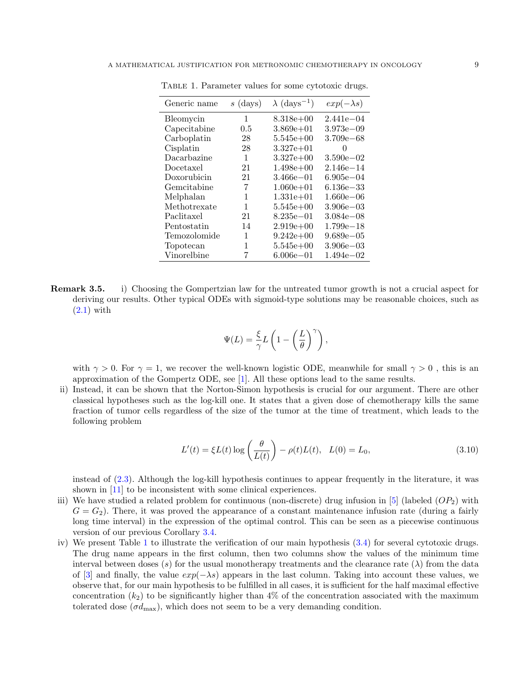| Generic name | $s$ (days) | $\lambda$ (days <sup>-1</sup> ) | $exp(-\lambda s)$ |
|--------------|------------|---------------------------------|-------------------|
| Bleomycin    | 1          | $8.318e+00$                     | $2.441e - 04$     |
| Capecitabine | 0.5        | $3.869e+01$                     | $3.973e - 09$     |
| Carboplatin  | 28         | $5.545e+00$                     | $3.709e - 68$     |
| Cisplatin    | 28         | $3.327e + 01$                   | 0                 |
| Dacarbazine  | 1          | $3.327e+00$                     | $3.590e - 02$     |
| Docetaxel    | 21         | $1.498e+00$                     | $2.146e - 14$     |
| Doxorubicin  | 21         | $3.466e - 01$                   | $6.905e - 04$     |
| Gemcitabine  | 7          | $1.060e + 01$                   | $6.136e - 33$     |
| Melphalan    | 1          | $1.331e + 01$                   | $1.660e - 06$     |
| Methotrexate | 1          | $5.545e+00$                     | $3.906e - 03$     |
| Paclitaxel   | 21         | $8.235e - 01$                   | $3.084e - 08$     |
| Pentostatin  | 14         | $2.919e+00$                     | $1.799e - 18$     |
| Temozolomide | 1          | $9.242e+00$                     | $9.689e - 05$     |
| Topotecan    | 1          | $5.545e+00$                     | $3.906e - 03$     |
| Vinorelbine  | 7          | $6.006e - 01$                   | $1.494e - 02$     |

<span id="page-8-0"></span>Table 1. Parameter values for some cytotoxic drugs.

Remark 3.5. i) Choosing the Gompertzian law for the untreated tumor growth is not a crucial aspect for deriving our results. Other typical ODEs with sigmoid-type solutions may be reasonable choices, such as  $(2.1)$  with

$$
\Psi(L) = \frac{\xi}{\gamma} L\left(1 - \left(\frac{L}{\theta}\right)^{\gamma}\right),\,
$$

with  $\gamma > 0$ . For  $\gamma = 1$ , we recover the well-known logistic ODE, meanwhile for small  $\gamma > 0$ , this is an approximation of the Gompertz ODE, see [\[1\]](#page-16-9). All these options lead to the same results.

ii) Instead, it can be shown that the Norton-Simon hypothesis is crucial for our argument. There are other classical hypotheses such as the log-kill one. It states that a given dose of chemotherapy kills the same fraction of tumor cells regardless of the size of the tumor at the time of treatment, which leads to the following problem

$$
L'(t) = \xi L(t) \log \left( \frac{\theta}{L(t)} \right) - \rho(t) L(t), \quad L(0) = L_0,
$$
\n(3.10)

instead of [\(2.3\)](#page-2-0). Although the log-kill hypothesis continues to appear frequently in the literature, it was shown in [\[11\]](#page-16-2) to be inconsistent with some clinical experiences.

- iii) We have studied a related problem for continuous (non-discrete) drug infusion in  $[5]$  (labeled  $OP_2$ ) with  $G = G<sub>2</sub>$ ). There, it was proved the appearance of a constant maintenance infusion rate (during a fairly long time interval) in the expression of the optimal control. This can be seen as a piecewise continuous version of our previous Corollary [3.4.](#page-7-1)
- iv) We present Table [1](#page-8-0) to illustrate the verification of our main hypothesis [\(3.4\)](#page-5-0) for several cytotoxic drugs. The drug name appears in the first column, then two columns show the values of the minimum time interval between doses (s) for the usual monotherapy treatments and the clearance rate ( $\lambda$ ) from the data of [\[3\]](#page-16-11) and finally, the value  $exp(-\lambda s)$  appears in the last column. Taking into account these values, we observe that, for our main hypothesis to be fulfilled in all cases, it is sufficient for the half maximal effective concentration  $(k_2)$  to be significantly higher than 4% of the concentration associated with the maximum tolerated dose  $(\sigma d_{\text{max}})$ , which does not seem to be a very demanding condition.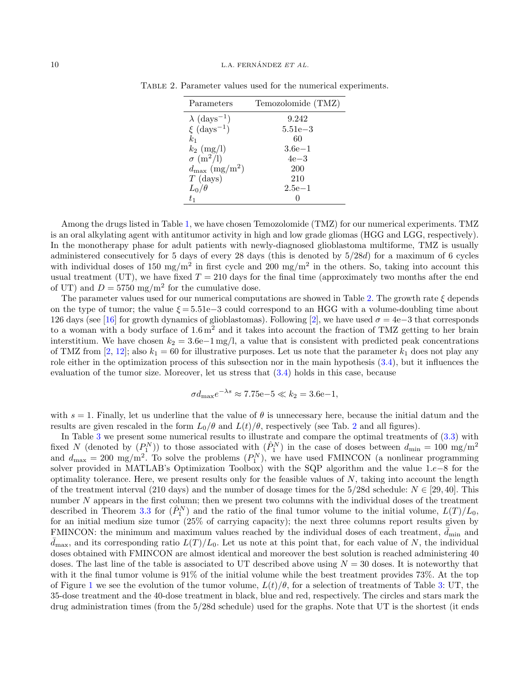<span id="page-9-0"></span>

| Parameters                         | Temozolomide (TMZ) |
|------------------------------------|--------------------|
| $\lambda$ (days <sup>-1</sup> )    | 9.242              |
| $\xi$ (days <sup>-1</sup> )        | $5.51e - 3$        |
| $k_{1}$                            | 60                 |
| $k_2$ (mg/l)                       | $3.6e-1$           |
| $\sigma$ (m <sup>2</sup> /l)       | 4e—3               |
| $d_{\text{max}} \ (\text{mg/m}^2)$ | <b>200</b>         |
| $T$ (days)                         | 210                |
| $L_0/\theta$                       | $2.5e-1$           |
| $t_{1}$                            |                    |

Table 2. Parameter values used for the numerical experiments.

Among the drugs listed in Table [1,](#page-8-0) we have chosen Temozolomide (TMZ) for our numerical experiments. TMZ is an oral alkylating agent with antitumor activity in high and low grade gliomas (HGG and LGG, respectively). In the monotherapy phase for adult patients with newly-diagnosed glioblastoma multiforme, TMZ is usually administered consecutively for 5 days of every 28 days (this is denoted by 5/28d) for a maximum of 6 cycles with individual doses of 150 mg/m<sup>2</sup> in first cycle and 200 mg/m<sup>2</sup> in the others. So, taking into account this usual treatment (UT), we have fixed  $T = 210$  days for the final time (approximately two months after the end of UT) and  $D = 5750$  mg/m<sup>2</sup> for the cumulative dose.

The parameter values used for our numerical computations are showed in Table [2.](#page-9-0) The growth rate  $\xi$  depends on the type of tumor; the value  $\xi = 5.51e-3$  could correspond to an HGG with a volume-doubling time about 126 days (see [\[16\]](#page-17-2) for growth dynamics of glioblastomas). Following [\[2\]](#page-16-5), we have used  $\sigma = 4e-3$  that corresponds to a woman with a body surface of  $1.6 \,\mathrm{m}^2$  and it takes into account the fraction of TMZ getting to her brain interstitium. We have chosen  $k_2 = 3.6e-1 \text{ mg/l}$ , a value that is consistent with predicted peak concentrations of TMZ from [\[2,](#page-16-5) [12\]](#page-16-8); also  $k_1 = 60$  for illustrative purposes. Let us note that the parameter  $k_1$  does not play any role either in the optimization process of this subsection nor in the main hypothesis  $(3.4)$ , but it influences the evaluation of the tumor size. Moreover, let us stress that [\(3.4\)](#page-5-0) holds in this case, because

$$
\sigma d_{\text{max}} e^{-\lambda s} \approx 7.75 e - 5 \ll k_2 = 3.6 e - 1,
$$

with  $s = 1$ . Finally, let us underline that the value of  $\theta$  is unnecessary here, because the initial datum and the results are given rescaled in the form  $L_0/\theta$  and  $L(t)/\theta$ , respectively (see Tab. [2](#page-9-0) and all figures).

In Table [3](#page-10-0) we present some numerical results to illustrate and compare the optimal treatments of [\(3.3\)](#page-5-2) with fixed N (denoted by  $(P_1^N)$ ) to those associated with  $(P_1^N)$  in the case of doses between  $d_{\min} = 100$  mg/m<sup>2</sup> and  $d_{\text{max}} = 200 \text{ mg/m}^2$ . To solve the problems  $(P_1^N)$ , we have used FMINCON (a nonlinear programming solver provided in MATLAB's Optimization Toolbox) with the SQP algorithm and the value 1.e−8 for the optimality tolerance. Here, we present results only for the feasible values of  $N$ , taking into account the length of the treatment interval (210 days) and the number of dosage times for the 5/28d schedule:  $N \in [29, 40]$ . This number N appears in the first column; then we present two columns with the individual doses of the treatment described in Theorem [3.3](#page-7-0) for  $(\hat{P}_1^N)$  and the ratio of the final tumor volume to the initial volume,  $L(T)/L_0$ , for an initial medium size tumor (25% of carrying capacity); the next three columns report results given by FMINCON: the minimum and maximum values reached by the individual doses of each treatment,  $d_{\min}$  and  $\bar{d}_{\text{max}}$ , and its corresponding ratio  $L(T)/L_0$ . Let us note at this point that, for each value of N, the individual doses obtained with FMINCON are almost identical and moreover the best solution is reached administering 40 doses. The last line of the table is associated to UT described above using  $N = 30$  doses. It is noteworthy that with it the final tumor volume is 91% of the initial volume while the best treatment provides 73%. At the top of Figure [1](#page-10-1) we see the evolution of the tumor volume,  $L(t)/\theta$ , for a selection of treatments of Table [3:](#page-10-0) UT, the 35-dose treatment and the 40-dose treatment in black, blue and red, respectively. The circles and stars mark the drug administration times (from the 5/28d schedule) used for the graphs. Note that UT is the shortest (it ends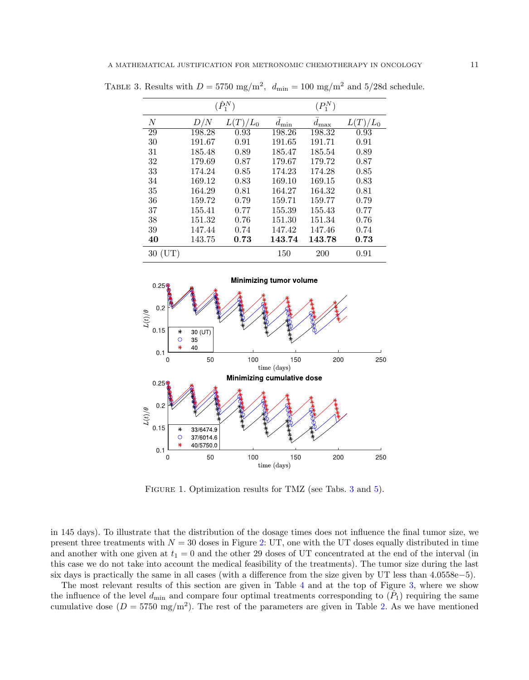<span id="page-10-0"></span>

|    |        | $(\hat{P}_1^N)$ |                          | $(P_1^N)$        |         |
|----|--------|-----------------|--------------------------|------------------|---------|
| N  | D/N    | $L(T)/L_0$      | $\tilde{d}_{\text{min}}$ | $\bar{d}_{\max}$ | $T/L_0$ |
| 29 | 198.28 | 0.93            | 198.26                   | 198.32           | 0.93    |
| 30 | 191.67 | 0.91            | 191.65                   | 191.71           | 0.91    |
| 31 | 185.48 | 0.89            | 185.47                   | 185.54           | 0.89    |
| 32 | 179.69 | 0.87            | 179.67                   | 179.72           | 0.87    |
| 33 | 174.24 | 0.85            | 174.23                   | 174.28           | 0.85    |
| 34 | 169.12 | 0.83            | 169.10                   | 169.15           | 0.83    |
| 35 | 164.29 | 0.81            | 164.27                   | 164.32           | 0.81    |
| 36 | 159.72 | 0.79            | 159.71                   | 159.77           | 0.79    |
| 37 | 155.41 | 0.77            | 155.39                   | 155.43           | 0.77    |
| 38 | 151.32 | 0.76            | 151.30                   | 151.34           | 0.76    |
| 39 | 147.44 | 0.74            | 147.42                   | 147.46           | 0.74    |
| 40 | 143.75 | 0.73            | 143.74                   | 143.78           | 0.73    |
| 30 |        |                 | 150                      | 200              | 0.91    |

TABLE 3. Results with  $D = 5750 \text{ mg/m}^2$ ,  $d_{\text{min}} = 100 \text{ mg/m}^2$  and  $5/28d$  schedule.



<span id="page-10-1"></span>FIGURE 1. Optimization results for TMZ (see Tabs. [3](#page-10-0) and [5\)](#page-15-0).

in 145 days). To illustrate that the distribution of the dosage times does not influence the final tumor size, we present three treatments with  $N = 30$  doses in Figure [2:](#page-11-0) UT, one with the UT doses equally distributed in time and another with one given at  $t_1 = 0$  and the other 29 doses of UT concentrated at the end of the interval (in this case we do not take into account the medical feasibility of the treatments). The tumor size during the last six days is practically the same in all cases (with a difference from the size given by UT less than 4.0558e−5).

The most relevant results of this section are given in Table [4](#page-11-1) and at the top of Figure [3,](#page-12-0) where we show the influence of the level  $d_{\min}$  and compare four optimal treatments corresponding to  $(\hat{P}_1)$  requiring the same cumulative dose  $(D = 5750 \text{ mg/m}^2)$ . The rest of the parameters are given in Table [2.](#page-9-0) As we have mentioned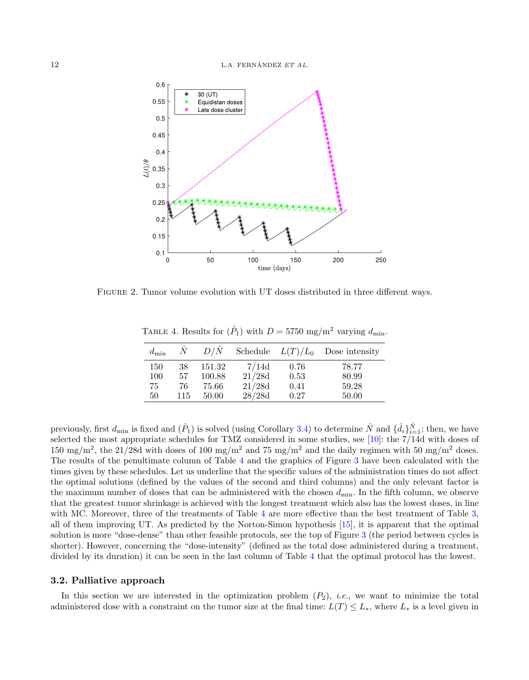

Figure 2. Tumor volume evolution with UT doses distributed in three different ways.

<span id="page-11-1"></span><span id="page-11-0"></span>TABLE 4. Results for  $(\hat{P}_1)$  with  $D = 5750$  mg/m<sup>2</sup> varying  $d_{\min}$ .

| $d_{\min}$ | N   | $D/\hat{N}$ | Schedule $L(T)/L_0$ |      | Dose intensity |
|------------|-----|-------------|---------------------|------|----------------|
| 150        | 38  | 151.32      | 7/14d               | 0.76 | 78.77          |
| 100        | 57  | 100.88      | 21/28d              | 0.53 | 80.99          |
| 75         | 76  | 75.66       | 21/28d              | 0.41 | 59.28          |
| 50         | 115 | 50.00       | 28/28d              | 0.27 | 50.00          |

previously, first  $d_{\min}$  is fixed and  $(\hat{P}_1)$  is solved (using Corollary [3.4\)](#page-7-1) to determine  $\hat{N}$  and  $\{\hat{d}_i\}_{i=1}^{\hat{N}}$ ; then, we have selected the most appropriate schedules for TMZ considered in some studies, see [\[10\]](#page-16-7): the 7/14d with doses of 150 mg/m<sup>2</sup>, the 21/28d with doses of 100 mg/m<sup>2</sup> and 75 mg/m<sup>2</sup> and the daily regimen with 50 mg/m<sup>2</sup> doses. The results of the penultimate column of Table [4](#page-11-1) and the graphics of Figure [3](#page-12-0) have been calculated with the times given by these schedules. Let us underline that the specific values of the administration times do not affect the optimal solutions (defined by the values of the second and third columns) and the only relevant factor is the maximum number of doses that can be administered with the chosen  $d_{\min}$ . In the fifth column, we observe that the greatest tumor shrinkage is achieved with the longest treatment which also has the lowest doses, in line with MC. Moreover, three of the treatments of Table [4](#page-11-1) are more effective than the best treatment of Table 3. all of them improving UT. As predicted by the Norton-Simon hypothesis [\[15\]](#page-17-1), it is apparent that the optimal solution is more "dose-dense" than other feasible protocols, see the top of Figure [3](#page-12-0) (the period between cycles is shorter). However, concerning the "dose-intensity" (defined as the total dose administered during a treatment, divided by its duration) it can be seen in the last column of Table [4](#page-11-1) that the optimal protocol has the lowest.

#### 3.2. Palliative approach

In this section we are interested in the optimization problem  $(P_2)$ , *i.e.*, we want to minimize the total administered dose with a constraint on the tumor size at the final time:  $L(T) \leq L_*$ , where  $L_*$  is a level given in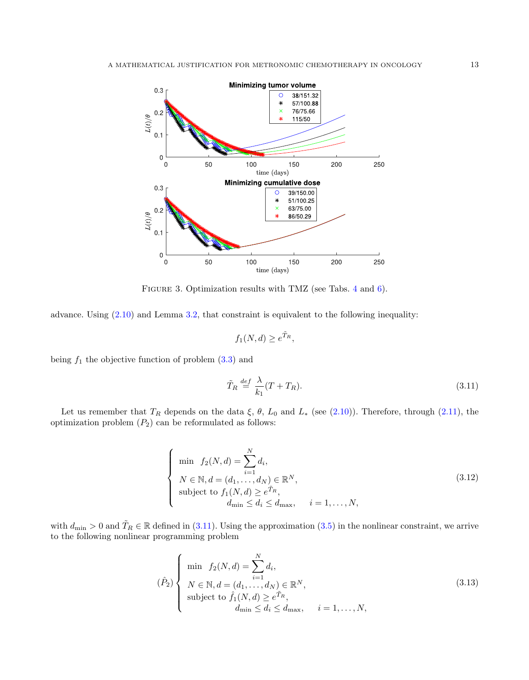

<span id="page-12-0"></span>FIGURE 3. Optimization results with TMZ (see Tabs. [4](#page-11-1) and [6\)](#page-15-1).

advance. Using  $(2.10)$  and Lemma [3.2,](#page-4-2) that constraint is equivalent to the following inequality:

$$
f_1(N,d) \ge e^{\tilde{T}_R},
$$

being  $f_1$  the objective function of problem  $(3.3)$  and

<span id="page-12-1"></span>
$$
\tilde{T}_R \stackrel{def}{=} \frac{\lambda}{k_1}(T + T_R). \tag{3.11}
$$

Let us remember that  $T_R$  depends on the data  $\xi$ ,  $\theta$ ,  $L_0$  and  $L_*$  (see [\(2.10\)](#page-3-1)). Therefore, through [\(2.11\)](#page-4-1), the optimization problem  $(P_2)$  can be reformulated as follows:

<span id="page-12-2"></span>
$$
\begin{cases}\n\min \quad f_2(N,d) = \sum_{i=1}^N d_i, \\
N \in \mathbb{N}, d = (d_1, \dots, d_N) \in \mathbb{R}^N, \\
\text{subject to } f_1(N,d) \ge e^{\tilde{T}_R}, \\
d_{\min} \le d_i \le d_{\max}, \quad i = 1, \dots, N,\n\end{cases} \tag{3.12}
$$

with  $d_{\min} > 0$  and  $\tilde{T}_R \in \mathbb{R}$  defined in [\(3.11\)](#page-12-1). Using the approximation [\(3.5\)](#page-6-2) in the nonlinear constraint, we arrive to the following nonlinear programming problem

$$
\left(\hat{P}_2\right) \left\{\n\begin{array}{l}\n\min \ f_2(N,d) = \sum_{i=1}^N d_i, \\
N \in \mathbb{N}, d = (d_1, \dots, d_N) \in \mathbb{R}^N, \\
\text{subject to } \hat{f}_1(N,d) \ge e^{\tilde{T}_R}, \\
d_{\min} \le d_i \le d_{\max}, \quad i = 1, \dots, N,\n\end{array}\n\right. \tag{3.13}
$$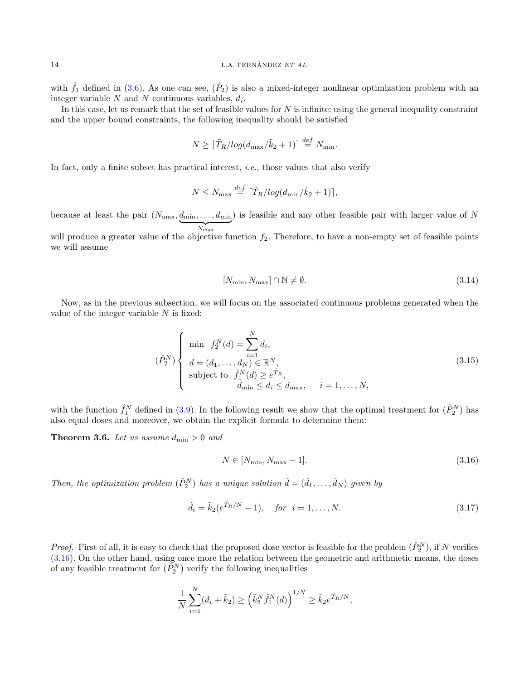with  $\hat{f}_1$  defined in [\(3.6\)](#page-6-3). As one can see,  $(\hat{P}_2)$  is also a mixed-integer nonlinear optimization problem with an integer variable  $N$  and  $N$  continuous variables,  $d_i$ .

In this case, let us remark that the set of feasible values for  $N$  is infinite: using the general inequality constraint and the upper bound constraints, the following inequality should be satisfied

$$
N \geq \lceil \tilde{T}_R / \log(d_{\max}/\tilde{k}_2 + 1) \rceil \stackrel{\text{def}}{=} N_{\min}.
$$

In fact, only a finite subset has practical interest, *i.e.*, those values that also verify

$$
N \le N_{\text{max}} \stackrel{def}{=} \left[ \tilde{T}_R / \log(d_{\text{min}}/\tilde{k}_2 + 1) \right],
$$

because at least the pair  $(N_{\text{max}}, d_{\text{min}}, \ldots, d_{\text{min}})$  $N_{\rm max}$ ) is feasible and any other feasible pair with larger value of N

will produce a greater value of the objective function  $f_2$ . Therefore, to have a non-empty set of feasible points we will assume

<span id="page-13-1"></span>
$$
[N_{\min}, N_{\max}] \cap \mathbb{N} \neq \emptyset. \tag{3.14}
$$

Now, as in the previous subsection, we will focus on the associated continuous problems generated when the value of the integer variable  $N$  is fixed:

$$
(\hat{P}_2^N) \begin{cases} \min \ f_2^N(d) = \sum_{i=1}^N d_i, \\ d = (d_1, \dots, d_N) \in \mathbb{R}^N, \\ \text{subject to } \hat{f}_1^N(d) \ge e^{\hat{T}_R}, \\ d_{\min} \le d_i \le d_{\max}, \quad i = 1, \dots, N, \end{cases}
$$
 (3.15)

with the function  $\hat{f}_1^N$  defined in [\(3.9\)](#page-6-4). In the following result we show that the optimal treatment for  $(\hat{P}_2^N)$  has also equal doses and moreover, we obtain the explicit formula to determine them:

**Theorem 3.6.** Let us assume  $d_{\min} > 0$  and

<span id="page-13-0"></span>
$$
N \in [N_{\min}, N_{\max} - 1]. \tag{3.16}
$$

Then, the optimization problem  $(\hat{P}_2^N)$  has a unique solution  $\hat{d} = (\hat{d}_1, \dots, \hat{d}_N)$  given by

<span id="page-13-2"></span>
$$
\hat{d}_i = \tilde{k}_2(e^{\tilde{T}_R/N} - 1), \quad \text{for } i = 1, \dots, N. \tag{3.17}
$$

*Proof.* First of all, it is easy to check that the proposed dose vector is feasible for the problem  $(\hat{P}_2^N)$ , if N verifies [\(3.16\)](#page-13-0). On the other hand, using once more the relation between the geometric and arithmetic means, the doses of any feasible treatment for  $(\tilde{P}_2^N)$  verify the following inequalities

$$
\frac{1}{N} \sum_{i=1}^{N} (d_i + \tilde{k}_2) \ge (\tilde{k}_2^N \hat{f}_1^N(d))^{1/N} \ge \tilde{k}_2 e^{\tilde{T}_R/N},
$$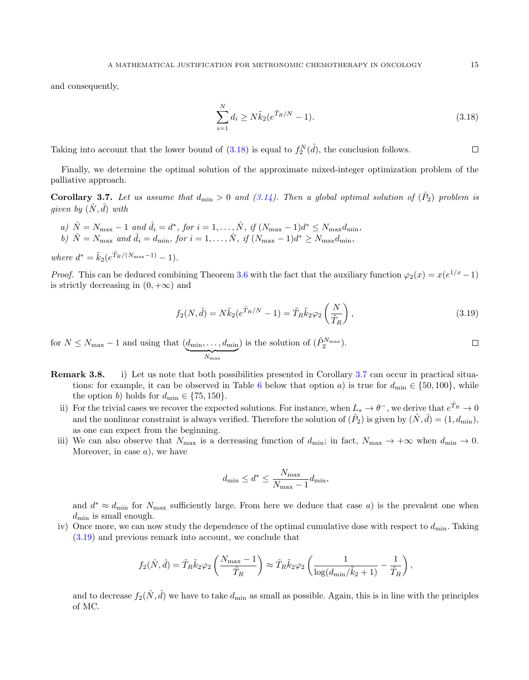and consequently,

<span id="page-14-0"></span>
$$
\sum_{i=1}^{N} d_i \ge N \tilde{k}_2 (e^{\tilde{T}_R/N} - 1).
$$
\n(3.18)

Taking into account that the lower bound of  $(3.18)$  is equal to  $f_2^N(\hat{d})$ , the conclusion follows.

Finally, we determine the optimal solution of the approximate mixed-integer optimization problem of the palliative approach.

<span id="page-14-1"></span>**Corollary 3.7.** Let us assume that  $d_{\min} > 0$  and  $(3.14)$ . Then a global optimal solution of  $(\hat{P}_2)$  problem is given by  $(\hat{N}, \hat{d})$  with

a)  $\hat{N} = N_{\text{max}} - 1$  and  $\hat{d}_i = d^*$ , for  $i = 1, ..., \hat{N}$ , if  $(N_{\text{max}} - 1)d^* \le N_{\text{max}}d_{\text{min}}$ , b)  $\hat{N} = N_{\text{max}}$  and  $\hat{d}_i = d_{\text{min}}$ , for  $i = 1, ..., \hat{N}$ , if  $(N_{\text{max}} - 1)d^* \ge N_{\text{max}}d_{\text{min}}$ ,

where  $d^* = \tilde{k}_2(e^{\tilde{T}_R/(N_{\text{max}}-1)} - 1).$ 

*Proof.* This can be deduced combining Theorem [3.6](#page-13-2) with the fact that the auxiliary function  $\varphi_2(x) = x(e^{1/x} - 1)$ is strictly decreasing in  $(0, +\infty)$  and

<span id="page-14-2"></span>
$$
f_2(N,\hat{d}) = N\tilde{k}_2(e^{\tilde{T}_R/N} - 1) = \tilde{T}_R\tilde{k}_2\varphi_2\left(\frac{N}{\tilde{T}_R}\right),\tag{3.19}
$$

) is the solution of  $(\hat{P}_2^{N_{\text{max}}})$ .  $\Box$ for  $N \leq N_{\text{max}} - 1$  and using that  $(d_{\text{min}}, \ldots, d_{\text{min}})$  $N_{\rm max}$ 

- Remark 3.8. i) Let us note that both possibilities presented in Corollary [3.7](#page-14-1) can occur in practical situa-tions: for example, it can be observed in Table [6](#page-15-1) below that option a) is true for  $d_{\min} \in \{50, 100\}$ , while the option b) holds for  $d_{\min} \in \{75, 150\}.$ 
	- ii) For the trivial cases we recover the expected solutions. For instance, when  $L_* \to \theta^-$ , we derive that  $e^{\tilde{T}_R} \to 0$ and the nonlinear constraint is always verified. Therefore the solution of  $(\hat{P}_2)$  is given by  $(\hat{N}, \hat{d}) = (1, d_{\min})$ , as one can expect from the beginning.
	- iii) We can also observe that  $N_{\text{max}}$  is a decreasing function of  $d_{\text{min}}$ ; in fact,  $N_{\text{max}} \to +\infty$  when  $d_{\text{min}} \to 0$ . Moreover, in case  $a$ , we have

$$
d_{\min} \leq d^* \leq \frac{N_{\max}}{N_{\max}-1}d_{\min},
$$

and  $d^* \approx d_{\text{min}}$  for  $N_{\text{max}}$  sufficiently large. From here we deduce that case a) is the prevalent one when  $d_{\min}$  is small enough.

iv) Once more, we can now study the dependence of the optimal cumulative dose with respect to  $d_{\min}$ . Taking [\(3.19\)](#page-14-2) and previous remark into account, we conclude that

$$
f_2(\hat{N}, \hat{d}) = \tilde{T}_R \tilde{k}_2 \varphi_2 \left( \frac{N_{\text{max}} - 1}{\tilde{T}_R} \right) \approx \tilde{T}_R \tilde{k}_2 \varphi_2 \left( \frac{1}{\log(d_{\text{min}}/\tilde{k}_2 + 1)} - \frac{1}{\tilde{T}_R} \right),
$$

and to decrease  $f_2(\hat{N}, \hat{d})$  we have to take  $d_{\min}$  as small as possible. Again, this is in line with the principles of MC.

 $\Box$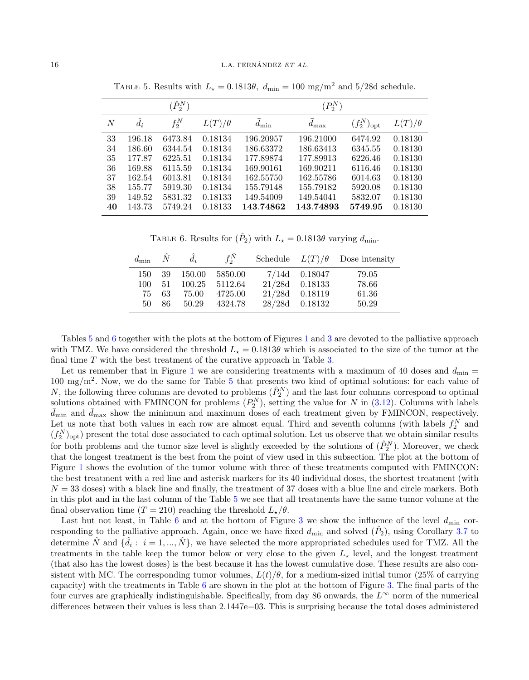|    |             | $(\hat{P}_2^N)$ |               |                        | $(P_2^N)$  |                          |               |
|----|-------------|-----------------|---------------|------------------------|------------|--------------------------|---------------|
| N  | $\hat{d}_i$ | $f_2^N$         | $L(T)/\theta$ | $\bar{d}_{\text{min}}$ | $d_{\max}$ | $(f_2^N)_{\mathrm{opt}}$ | $L(T)/\theta$ |
| 33 | 196.18      | 6473.84         | 0.18134       | 196.20957              | 196.21000  | 6474.92                  | 0.18130       |
| 34 | 186.60      | 6344.54         | 0.18134       | 186.63372              | 186.63413  | 6345.55                  | 0.18130       |
| 35 | 177.87      | 6225.51         | 0.18134       | 177.89874              | 177.89913  | 6226.46                  | 0.18130       |
| 36 | 169.88      | 6115.59         | 0.18134       | 169.90161              | 169.90211  | 6116.46                  | 0.18130       |
| 37 | 162.54      | 6013.81         | 0.18134       | 162.55750              | 162.55786  | 6014.63                  | 0.18130       |
| 38 | 155.77      | 5919.30         | 0.18134       | 155.79148              | 155.79182  | 5920.08                  | 0.18130       |
| 39 | 149.52      | 5831.32         | 0.18133       | 149.54009              | 149.54041  | 5832.07                  | 0.18130       |
| 40 | 143.73      | 5749.24         | 0.18133       | 143.74862              | 143.74893  | 5749.95                  | 0.18130       |

<span id="page-15-0"></span>TABLE 5. Results with  $L_{\star} = 0.1813\theta$ ,  $d_{\min} = 100$  mg/m<sup>2</sup> and 5/28d schedule.

<span id="page-15-1"></span>TABLE 6. Results for  $(\hat{P}_2)$  with  $L_{\star} = 0.1813\theta$  varying  $d_{\min}$ .

| $d_{\min} \quad N$ |    | $\hat{d}_i$ | $f_2^{\hat{N}}$ |                  | Schedule $L(T)/\theta$ Dose intensity |
|--------------------|----|-------------|-----------------|------------------|---------------------------------------|
| 150                |    | 39 150.00   | 5850.00         | $7/14d$ 0.18047  | 79.05                                 |
| 100                | 51 |             | 100.25 5112.64  | $21/28d$ 0.18133 | 78.66                                 |
| 75                 | 63 | 75.00       | 4725.00         | 21/28d 0.18119   | 61.36                                 |
| 50                 | 86 | 50.29       | 4324.78         | 28/28d 0.18132   | 50.29                                 |

Tables [5](#page-15-0) and [6](#page-15-1) together with the plots at the bottom of Figures [1](#page-10-1) and [3](#page-12-0) are devoted to the palliative approach with TMZ. We have considered the threshold  $L<sub>\star</sub> = 0.1813\theta$  which is associated to the size of the tumor at the final time T with the best treatment of the curative approach in Table [3.](#page-10-0)

Let us remember that in Figure [1](#page-10-1) we are considering treatments with a maximum of 40 doses and  $d_{\min}$  =  $100 \text{ mg/m}^2$ . Now, we do the same for Table [5](#page-15-0) that presents two kind of optimal solutions: for each value of N, the following three columns are devoted to problems  $(\hat{P}_2^N)$  and the last four columns correspond to optimal solutions obtained with FMINCON for problems  $(P_2^N)$ , setting the value for N in  $(3.12)$ . Columns with labels  $d_{\min}$  and  $d_{\max}$  show the minimum and maximum doses of each treatment given by FMINCON, respectively. Let us note that both values in each row are almost equal. Third and seventh columns (with labels  $f_2^N$  and  $(f_2^N)_{\text{opt}}$  present the total dose associated to each optimal solution. Let us observe that we obtain similar results for both problems and the tumor size level is slightly exceeded by the solutions of  $(\hat{P}_2^N)$ . Moreover, we check that the longest treatment is the best from the point of view used in this subsection. The plot at the bottom of Figure [1](#page-10-1) shows the evolution of the tumor volume with three of these treatments computed with FMINCON: the best treatment with a red line and asterisk markers for its 40 individual doses, the shortest treatment (with  $N = 33$  doses) with a black line and finally, the treatment of 37 doses with a blue line and circle markers. Both in this plot and in the last column of the Table [5](#page-15-0) we see that all treatments have the same tumor volume at the final observation time (T = 210) reaching the threshold  $L_{\star}/\theta$ .

Last but not least, in Table [6](#page-15-1) and at the bottom of Figure [3](#page-12-0) we show the influence of the level  $d_{\min}$  corresponding to the palliative approach. Again, once we have fixed  $d_{\min}$  and solved  $(\hat{P}_2)$ , using Corollary [3.7](#page-14-1) to determine  $\hat{N}$  and  $\{\hat{d}_i: i = 1, ..., \hat{N}\}\$ , we have selected the more appropriated schedules used for TMZ. All the treatments in the table keep the tumor below or very close to the given  $L_{\star}$  level, and the longest treatment (that also has the lowest doses) is the best because it has the lowest cumulative dose. These results are also consistent with MC. The corresponding tumor volumes,  $L(t)/\theta$ , for a medium-sized initial tumor (25% of carrying capacity) with the treatments in Table [6](#page-15-1) are shown in the plot at the bottom of Figure [3.](#page-12-0) The final parts of the four curves are graphically indistinguishable. Specifically, from day 86 onwards, the  $L^{\infty}$  norm of the numerical differences between their values is less than 2.1447e−03. This is surprising because the total doses administered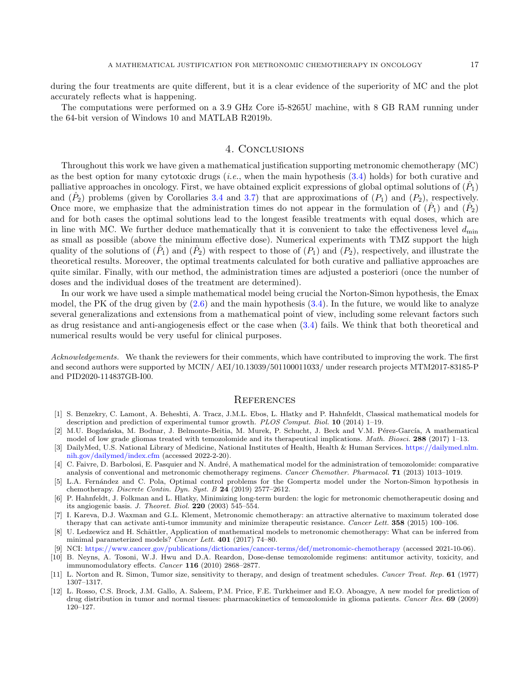during the four treatments are quite different, but it is a clear evidence of the superiority of MC and the plot accurately reflects what is happening.

The computations were performed on a 3.9 GHz Core i5-8265U machine, with 8 GB RAM running under the 64-bit version of Windows 10 and MATLAB R2019b.

# 4. Conclusions

Throughout this work we have given a mathematical justification supporting metronomic chemotherapy (MC) as the best option for many cytotoxic drugs (*i.e.*, when the main hypothesis  $(3.4)$  holds) for both curative and palliative approaches in oncology. First, we have obtained explicit expressions of global optimal solutions of  $(\hat{P}_1)$ and  $(\hat{P}_2)$  problems (given by Corollaries [3.4](#page-7-1) and [3.7\)](#page-14-1) that are approximations of  $(P_1)$  and  $(P_2)$ , respectively. Once more, we emphasize that the administration times do not appear in the formulation of  $(\hat{P}_1)$  and  $(\hat{P}_2)$ and for both cases the optimal solutions lead to the longest feasible treatments with equal doses, which are in line with MC. We further deduce mathematically that it is convenient to take the effectiveness level  $d_{\min}$ as small as possible (above the minimum effective dose). Numerical experiments with TMZ support the high quality of the solutions of  $(\hat{P}_1)$  and  $(\hat{P}_2)$  with respect to those of  $(P_1)$  and  $(P_2)$ , respectively, and illustrate the theoretical results. Moreover, the optimal treatments calculated for both curative and palliative approaches are quite similar. Finally, with our method, the administration times are adjusted a posteriori (once the number of doses and the individual doses of the treatment are determined).

In our work we have used a simple mathematical model being crucial the Norton-Simon hypothesis, the Emax model, the PK of the drug given by  $(2.6)$  and the main hypothesis  $(3.4)$ . In the future, we would like to analyze several generalizations and extensions from a mathematical point of view, including some relevant factors such as drug resistance and anti-angiogenesis effect or the case when [\(3.4\)](#page-5-0) fails. We think that both theoretical and numerical results would be very useful for clinical purposes.

Acknowledgements. We thank the reviewers for their comments, which have contributed to improving the work. The first and second authors were supported by MCIN/ AEI/10.13039/501100011033/ under research projects MTM2017-83185-P and PID2020-114837GB-I00.

#### **REFERENCES**

- <span id="page-16-9"></span>[1] S. Benzekry, C. Lamont, A. Beheshti, A. Tracz, J.M.L. Ebos, L. Hlatky and P. Hahnfeldt, Classical mathematical models for description and prediction of experimental tumor growth. PLOS Comput. Biol. 10 (2014) 1–19.
- <span id="page-16-5"></span>[2] M.U. Bogdańska, M. Bodnar, J. Belmonte-Beitia, M. Murek, P. Schucht, J. Beck and V.M. Pérez-García, A mathematical model of low grade gliomas treated with temozolomide and its therapeutical implications. Math. Biosci. 288 (2017) 1–13.
- <span id="page-16-11"></span>[3] DailyMed, U.S. National Library of Medicine, National Institutes of Health, Health & Human Services. [https://dailymed.nlm.](https://dailymed.nlm.nih.gov/dailymed/index.cfm) [nih.gov/dailymed/index.cfm](https://dailymed.nlm.nih.gov/dailymed/index.cfm) (accessed 2022-2-20).
- <span id="page-16-6"></span>[4] C. Faivre, D. Barbolosi, E. Pasquier and N. André, A mathematical model for the administration of temozolomide: comparative analysis of conventional and metronomic chemotherapy regimens. Cancer Chemother. Pharmacol. 71 (2013) 1013–1019.
- <span id="page-16-10"></span>[5] L.A. Fern´andez and C. Pola, Optimal control problems for the Gompertz model under the Norton-Simon hypothesis in chemotherapy. Discrete Contin. Dyn. Syst. B 24 (2019) 2577–2612.
- <span id="page-16-3"></span>[6] P. Hahnfeldt, J. Folkman and L. Hlatky, Minimizing long-term burden: the logic for metronomic chemotherapeutic dosing and its angiogenic basis. J. Theoret. Biol. 220 (2003) 545–554.
- <span id="page-16-1"></span>[7] I. Kareva, D.J. Waxman and G.L. Klement, Metronomic chemotherapy: an attractive alternative to maximum tolerated dose therapy that can activate anti-tumor immunity and minimize therapeutic resistance. Cancer Lett. 358 (2015) 100-106.
- <span id="page-16-4"></span>U. Ledzewicz and H. Schättler, Application of mathematical models to metronomic chemotherapy: What can be inferred from minimal parameterized models? Cancer Lett. 401 (2017) 74–80.
- <span id="page-16-0"></span>[9] NCI: <https://www.cancer.gov/publications/dictionaries/cancer-terms/def/metronomic-chemotherapy> (accessed 2021-10-06).
- <span id="page-16-7"></span>[10] B. Neyns, A. Tosoni, W.J. Hwu and D.A. Reardon, Dose-dense temozolomide regimens: antitumor activity, toxicity, and immunomodulatory effects. Cancer 116 (2010) 2868–2877.
- <span id="page-16-2"></span>[11] L. Norton and R. Simon, Tumor size, sensitivity to therapy, and design of treatment schedules. Cancer Treat. Rep. 61 (1977) 1307–1317.
- <span id="page-16-8"></span>[12] L. Rosso, C.S. Brock, J.M. Gallo, A. Saleem, P.M. Price, F.E. Turkheimer and E.O. Aboagye, A new model for prediction of drug distribution in tumor and normal tissues: pharmacokinetics of temozolomide in glioma patients. Cancer Res. 69 (2009) 120–127.